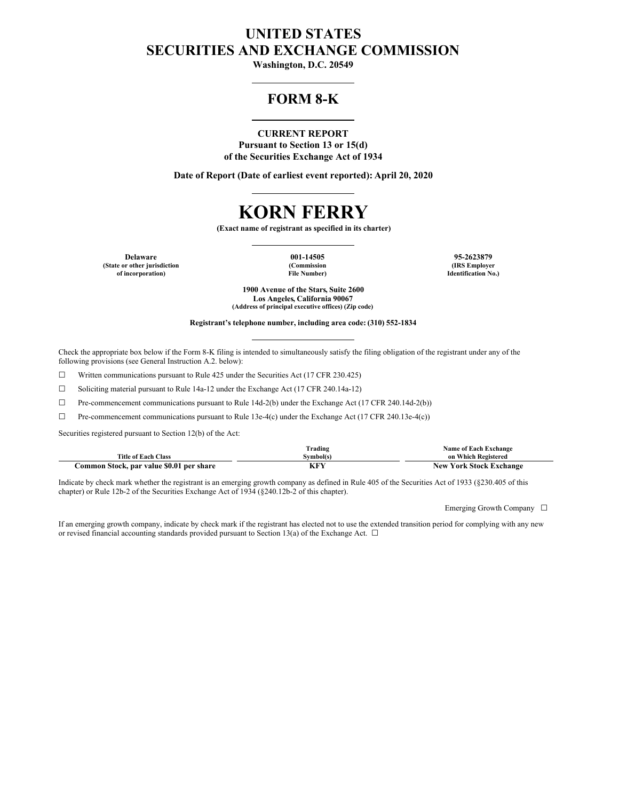# **UNITED STATES SECURITIES AND EXCHANGE COMMISSION**

**Washington, D.C. 20549**

## **FORM 8-K**

## **CURRENT REPORT**

**Pursuant to Section 13 or 15(d) of the Securities Exchange Act of 1934**

**Date of Report (Date of earliest event reported): April 20, 2020**

# **KORN FERRY**

**(Exact name of registrant as specified in its charter)**

**Delaware 001-14505 95-2623879 (State or other jurisdiction of incorporation)**

**(Commission File Number)**

**(IRS Employer Identification No.)**

**1900 Avenue of the Stars, Suite 2600 Los Angeles, California 90067 (Address of principal executive offices) (Zip code)**

**Registrant's telephone number, including area code: (310) 552-1834**

Check the appropriate box below if the Form 8-K filing is intended to simultaneously satisfy the filing obligation of the registrant under any of the following provisions (see General Instruction A.2. below):

☐ Written communications pursuant to Rule 425 under the Securities Act (17 CFR 230.425)

☐ Soliciting material pursuant to Rule 14a-12 under the Exchange Act (17 CFR 240.14a-12)

 $\Box$  Pre-commencement communications pursuant to Rule 14d-2(b) under the Exchange Act (17 CFR 240.14d-2(b))

☐ Pre-commencement communications pursuant to Rule 13e-4(c) under the Exchange Act (17 CFR 240.13e-4(c))

Securities registered pursuant to Section 12(b) of the Act:

|                                          | Trading   | <b>Name of Each Exchange</b>   |
|------------------------------------------|-----------|--------------------------------|
| <b>Title of Each Class</b>               | Symbol(s) | on Which Registered            |
| Common Stock, par value \$0.01 per share |           | <b>New York Stock Exchange</b> |

Indicate by check mark whether the registrant is an emerging growth company as defined in Rule 405 of the Securities Act of 1933 (§230.405 of this chapter) or Rule 12b-2 of the Securities Exchange Act of 1934 (§240.12b-2 of this chapter).

Emerging Growth Company □

If an emerging growth company, indicate by check mark if the registrant has elected not to use the extended transition period for complying with any new or revised financial accounting standards provided pursuant to Section 13(a) of the Exchange Act.  $\Box$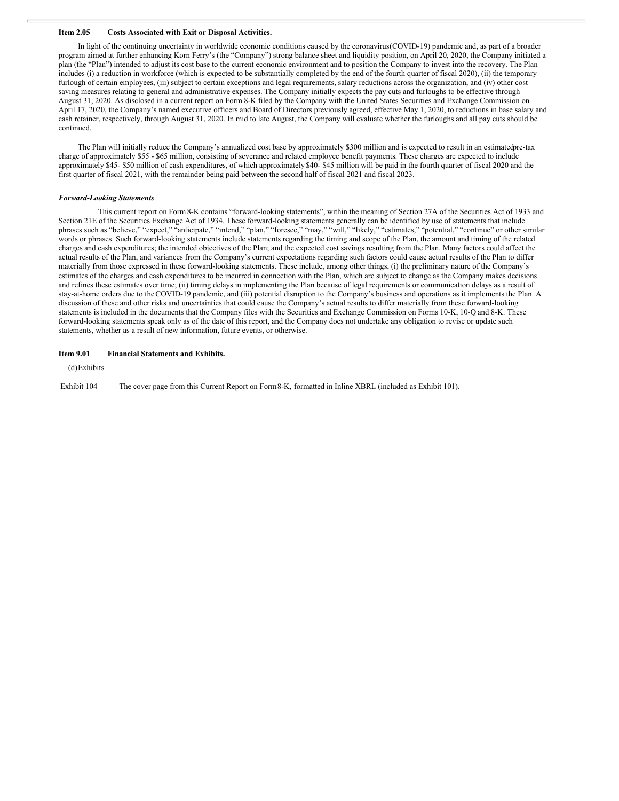#### **Item 2.05 Costs Associated with Exit or Disposal Activities.**

In light of the continuing uncertainty in worldwide economic conditions caused by the coronavirus(COVID-19) pandemic and, as part of a broader program aimed at further enhancing Korn Ferry's (the "Company") strong balance sheet and liquidity position, on April 20, 2020, the Company initiated a plan (the "Plan") intended to adjust its cost base to the current economic environment and to position the Company to invest into the recovery. The Plan includes (i) a reduction in workforce (which is expected to be substantially completed by the end of the fourth quarter of fiscal 2020), (ii) the temporary furlough of certain employees, (iii) subject to certain exceptions and legal requirements, salary reductions across the organization, and (iv) other cost saving measures relating to general and administrative expenses. The Company initially expects the pay cuts and furloughs to be effective through August 31, 2020. As disclosed in a current report on Form 8-K filed by the Company with the United States Securities and Exchange Commission on April 17, 2020, the Company's named executive officers and Board of Directors previously agreed, effective May 1, 2020, to reductions in base salary and cash retainer, respectively, through August 31, 2020. In mid to late August, the Company will evaluate whether the furloughs and all pay cuts should be continued.

The Plan will initially reduce the Company's annualized cost base by approximately \$300 million and is expected to result in an estimatedpre-tax charge of approximately \$55 - \$65 million, consisting of severance and related employee benefit payments. These charges are expected to include approximately \$45- \$50 million of cash expenditures, of which approximately \$40- \$45 million will be paid in the fourth quarter of fiscal 2020 and the first quarter of fiscal 2021, with the remainder being paid between the second half of fiscal 2021 and fiscal 2023.

#### *Forward-Looking Statements*

This current report on Form8-K contains "forward-looking statements", within the meaning of Section 27A of the Securities Act of 1933 and Section 21E of the Securities Exchange Act of 1934. These forward-looking statements generally can be identified by use of statements that include phrases such as "believe," "expect," "anticipate," "intend," "plan," "foresee," "may," "will," "likely," "estimates," "potential," "continue" or other similar words or phrases. Such forward-looking statements include statements regarding the timing and scope of the Plan, the amount and timing of the related charges and cash expenditures; the intended objectives of the Plan; and the expected cost savings resulting from the Plan. Many factors could affect the actual results of the Plan, and variances from the Company's current expectations regarding such factors could cause actual results of the Plan to differ materially from those expressed in these forward-looking statements. These include, among other things, (i) the preliminary nature of the Company's estimates of the charges and cash expenditures to be incurred in connection with the Plan, which are subject to change as the Company makes decisions and refines these estimates over time; (ii) timing delays in implementing the Plan because of legal requirements or communication delays as a result of stay-at-home orders due to theCOVID-19 pandemic, and (iii) potential disruption to the Company's business and operations as it implements the Plan. A discussion of these and other risks and uncertainties that could cause the Company's actual results to differ materially from these forward-looking statements is included in the documents that the Company files with the Securities and Exchange Commission on Forms 10-K, 10-Q and 8-K. These forward-looking statements speak only as of the date of this report, and the Company does not undertake any obligation to revise or update such statements, whether as a result of new information, future events, or otherwise.

#### **Item 9.01 Financial Statements and Exhibits.**

(d)Exhibits

Exhibit 104 The cover page from this Current Report on Form8-K, formatted in Inline XBRL (included as Exhibit 101).